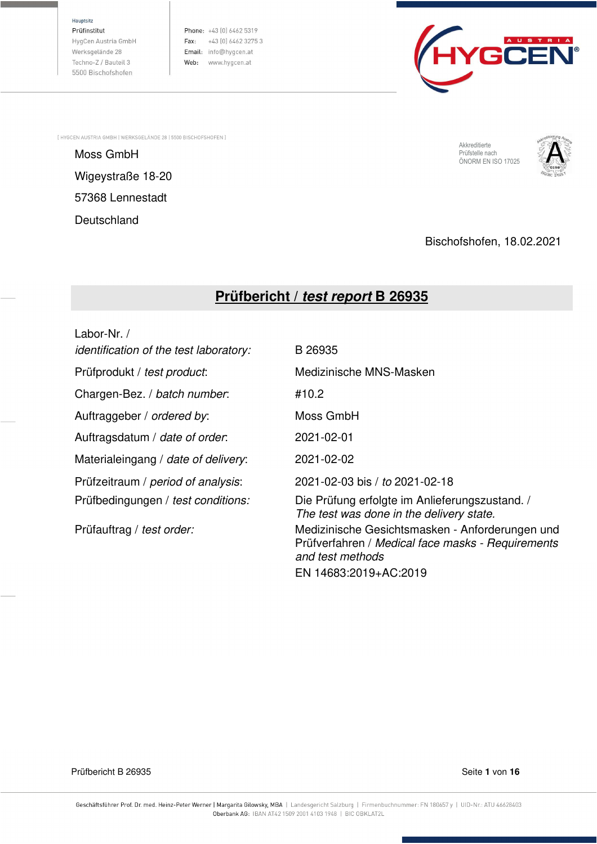Hauptsitz

Prüfinstitut HvgCen Austria GmbH Werksgelände 28 Techno-Z / Bauteil 3 5500 Bischofshofen

Phone: +43 (0) 6462 5319 Fax:  $+43$  (0) 6462 3275 3 Email: info@hygcen.at Web: www.hygcen.at



[ HYGCEN AUSTRIA GMBH | WERKSGELÄNDE 28 | 5500 BISCHOFSHOFEN ]

Moss GmbH<br>Moss GmbH Englische Schwarzen und der Englische Schwarzen und der Englische Genetische Berüfstelle nach Wigeystraße 18-20 57368 Lennestadt **Deutschland** 

Akkreditierte Prüfstelle nach<br>ÖNORM EN ISO 17025



Bischofshofen, 18.02.2021

# **Prüfbericht /** *test report* **B 26935**

Labor-Nr. / identification of the test laboratory: B 26935 Prüfprodukt / test product: Medizinische MNS-Masken Chargen-Bez. / batch number: #10.2 Auftraggeber / ordered by: Moss GmbH Auftragsdatum / date of order: 2021-02-01 Materialeingang / date of delivery: 2021-02-02 Prüfzeitraum / period of analysis: 2021-02-03 bis / to 2021-02-18 Prüfbedingungen / test conditions: Die Prüfung erfolgte im Anlieferungszustand. / The test was done in the delivery state. Prüfauftrag / test order: Medizinische Gesichtsmasken - Anforderungen und Prüfverfahren / Medical face masks - Requirements and test methods

EN 14683:2019+AC:2019

Prüfbericht B 26935 Seite **1** von **16**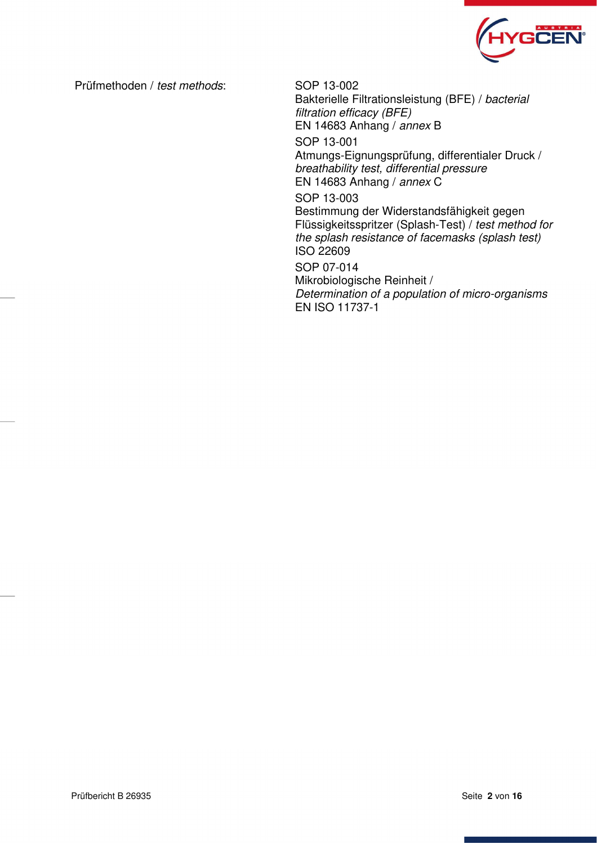

Prüfmethoden / test methods: SOP 13-002

Bakterielle Filtrationsleistung (BFE) / bacterial filtration efficacy (BFE) EN 14683 Anhang / annex B SOP 13-001 Atmungs-Eignungsprüfung, differentialer Druck / breathability test, differential pressure EN 14683 Anhang / annex C SOP 13-003 Bestimmung der Widerstandsfähigkeit gegen Flüssigkeitsspritzer (Splash-Test) / test method for the splash resistance of facemasks (splash test) ISO 22609 SOP 07-014 Mikrobiologische Reinheit / Determination of a population of micro-organisms EN ISO 11737-1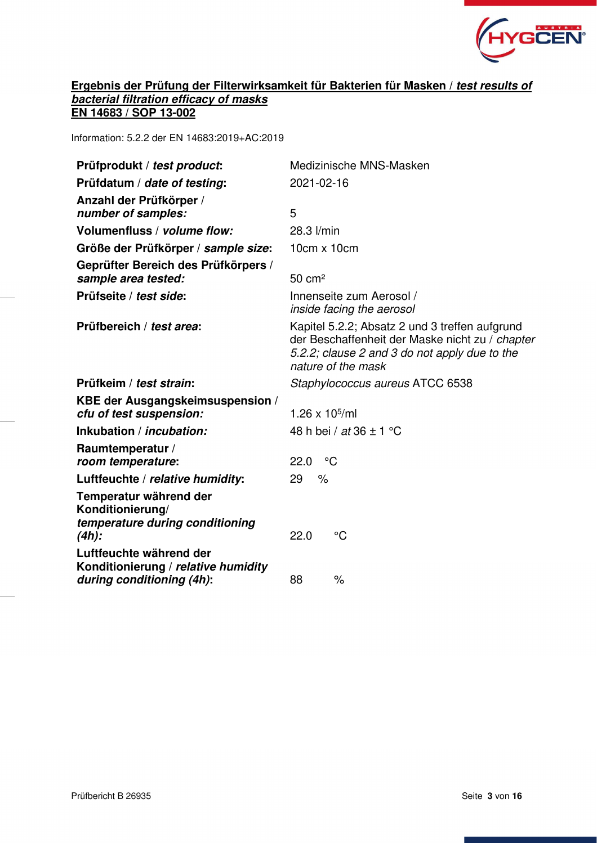

# **Ergebnis der Prüfung der Filterwirksamkeit für Bakterien für Masken /** *test results of bacterial filtration efficacy of masks*  **EN 14683 / SOP 13-002**

Information: 5.2.2 der EN 14683:2019+AC:2019

| Prüfprodukt / test product:                                                                 | Medizinische MNS-Masken                                                                                                                                                  |
|---------------------------------------------------------------------------------------------|--------------------------------------------------------------------------------------------------------------------------------------------------------------------------|
| Prüfdatum / date of testing:                                                                | 2021-02-16                                                                                                                                                               |
| Anzahl der Prüfkörper /<br>number of samples:                                               | 5                                                                                                                                                                        |
| Volumenfluss / volume flow:                                                                 | 28.3 l/min                                                                                                                                                               |
| Größe der Prüfkörper / sample size:                                                         | $10cm \times 10cm$                                                                                                                                                       |
| Geprüfter Bereich des Prüfkörpers /<br>sample area tested:                                  | $50 \text{ cm}^2$                                                                                                                                                        |
| Prüfseite / test side:                                                                      | Innenseite zum Aerosol /<br>inside facing the aerosol                                                                                                                    |
| Prüfbereich / test area:                                                                    | Kapitel 5.2.2; Absatz 2 und 3 treffen aufgrund<br>der Beschaffenheit der Maske nicht zu / chapter<br>5.2.2; clause 2 and 3 do not apply due to the<br>nature of the mask |
| Prüfkeim / test strain:                                                                     | Staphylococcus aureus ATCC 6538                                                                                                                                          |
| KBE der Ausgangskeimsuspension /<br>cfu of test suspension:                                 | 1.26 x $10^{5}$ /ml                                                                                                                                                      |
| Inkubation / <i>incubation:</i>                                                             | 48 h bei / at 36 $\pm$ 1 °C                                                                                                                                              |
| Raumtemperatur /<br>room temperature:                                                       | 22.0<br>°°C                                                                                                                                                              |
| Luftfeuchte / relative humidity:                                                            | $\%$<br>29                                                                                                                                                               |
| Temperatur während der<br>Konditionierung/<br>temperature during conditioning<br>$(4h)$ :   | $\rm ^{\circ}C$<br>22.0                                                                                                                                                  |
| Luftfeuchte während der<br>Konditionierung / relative humidity<br>during conditioning (4h): | $\frac{1}{\sqrt{2}}$<br>88                                                                                                                                               |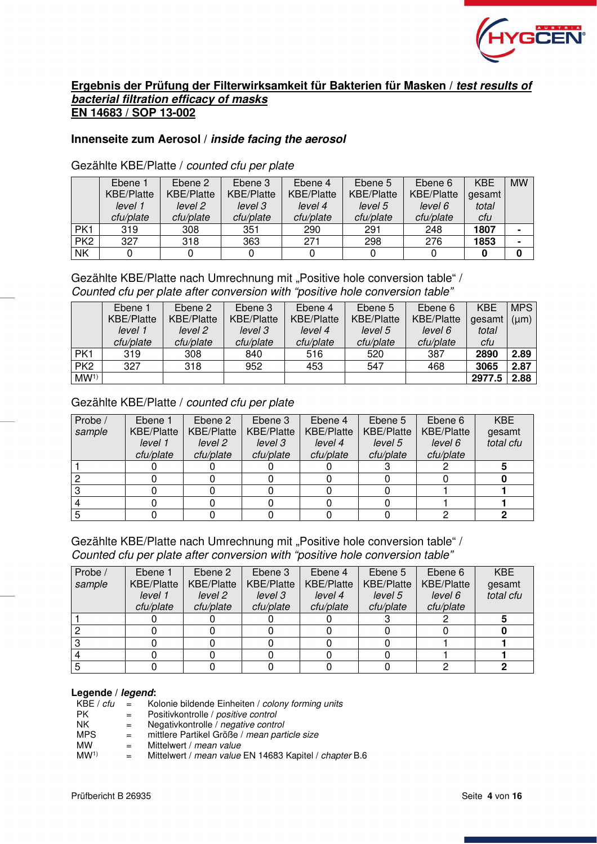

# **Ergebnis der Prüfung der Filterwirksamkeit für Bakterien für Masken /** *test results of bacterial filtration efficacy of masks*  **EN 14683 / SOP 13-002**

# **Innenseite zum Aerosol /** *inside facing the aerosol*

Gezählte KBE/Platte / counted cfu per plate

|                 | Ebene 1           | Ebene 2           | Ebene 3           | Ebene 4           | Ebene 5           | Ebene 6           | <b>KBE</b> | <b>MW</b> |
|-----------------|-------------------|-------------------|-------------------|-------------------|-------------------|-------------------|------------|-----------|
|                 | <b>KBE/Platte</b> | <b>KBE/Platte</b> | <b>KBE/Platte</b> | <b>KBE/Platte</b> | <b>KBE/Platte</b> | <b>KBE/Platte</b> | gesamt     |           |
|                 | level 1           | level 2           | level 3           | level 4           | level 5           | level 6           | total      |           |
|                 | cfu/plate         | cfu/plate         | cfu/plate         | cfu/plate         | cfu/plate         | cfu/plate         | cfu        |           |
| PK1             | 319               | 308               | 351               | 290               | 291               | 248               | 1807       |           |
| PK <sub>2</sub> | 327               | 318               | 363               | 271               | 298               | 276               | 1853       |           |
| <b>NK</b>       |                   |                   |                   |                   |                   |                   |            |           |

# Gezählte KBE/Platte nach Umrechnung mit "Positive hole conversion table" / Counted cfu per plate after conversion with "positive hole conversion table"

|                 | Ebene 1           | Ebene 2           | Ebene 3           | Ebene 4           | Ebene 5           | Ebene 6           | <b>KBE</b> | <b>MPS</b> |
|-----------------|-------------------|-------------------|-------------------|-------------------|-------------------|-------------------|------------|------------|
|                 | <b>KBE/Platte</b> | <b>KBE/Platte</b> | <b>KBE/Platte</b> | <b>KBE/Platte</b> | <b>KBE/Platte</b> | <b>KBE/Platte</b> | gesamt     | $(\mu m)$  |
|                 | level 1           | level 2           | level 3           | level 4           | level 5           | level 6           | total      |            |
|                 | cfu/plate         | cfu/plate         | cfu/plate         | cfu/plate         | cfu/plate         | cfu/plate         | cfu        |            |
| PK1             | 319               | 308               | 840               | 516               | 520               | 387               | 2890       | 2.89       |
| PK <sub>2</sub> | 327               | 318               | 952               | 453               | 547               | 468               | 3065       | 2.87       |
| MW <sup>1</sup> |                   |                   |                   |                   |                   |                   | 2977.5     | 2.88       |

# Gezählte KBE/Platte / counted cfu per plate

| Probe / | Ebene 1           | Ebene 2           | Ebene 3           | Ebene 4           | Ebene 5           | Ebene 6           | <b>KBE</b> |
|---------|-------------------|-------------------|-------------------|-------------------|-------------------|-------------------|------------|
| sample  | <b>KBE/Platte</b> | <b>KBE/Platte</b> | <b>KBE/Platte</b> | <b>KBE/Platte</b> | <b>KBE/Platte</b> | <b>KBE/Platte</b> | gesamt     |
|         | level 1           | level 2           | level 3           | level 4           | level 5           | level 6           | total cfu  |
|         | cfu/plate         | cfu/plate         | cfu/plate         | cfu/plate         | cfu/plate         | cfu/plate         |            |
|         |                   |                   |                   |                   |                   |                   |            |
|         |                   |                   |                   |                   |                   |                   |            |
|         |                   |                   |                   |                   |                   |                   |            |
|         |                   |                   |                   |                   |                   |                   |            |
|         |                   |                   |                   |                   |                   |                   |            |

# Gezählte KBE/Platte nach Umrechnung mit "Positive hole conversion table" / Counted cfu per plate after conversion with "positive hole conversion table"

| Probe / | Ebene 1           | Ebene 2           | Ebene 3           | Ebene 4           | Ebene 5           | Ebene 6           | <b>KBE</b> |
|---------|-------------------|-------------------|-------------------|-------------------|-------------------|-------------------|------------|
| sample  | <b>KBE/Platte</b> | <b>KBE/Platte</b> | <b>KBE/Platte</b> | <b>KBE/Platte</b> | <b>KBE/Platte</b> | <b>KBE/Platte</b> | gesamt     |
|         | level 1           | level 2           | level 3           | level 4           | level 5           | level 6           | total cfu  |
|         | cfu/plate         | cfu/plate         | cfu/plate         | cfu/plate         | cfu/plate         | cfu/plate         |            |
|         |                   |                   |                   |                   |                   |                   |            |
|         |                   |                   |                   |                   |                   |                   |            |
|         |                   |                   |                   |                   |                   |                   |            |
|         |                   |                   |                   |                   |                   |                   |            |
|         |                   |                   |                   |                   |                   |                   |            |

#### **Legende /** *legend***:**

| KBE / cfu       | $=$ | Kolonie bildende Einheiten / colony forming units      |
|-----------------|-----|--------------------------------------------------------|
| PK.             |     | Positivkontrolle / positive control                    |
| NK.             | $=$ | Negativkontrolle / negative control                    |
| <b>MPS</b>      | $=$ | mittlere Partikel Größe / mean particle size           |
| <b>MW</b>       |     | Mittelwert / mean value                                |
| MW <sup>1</sup> | $=$ | Mittelwert / mean value EN 14683 Kapitel / chapter B.6 |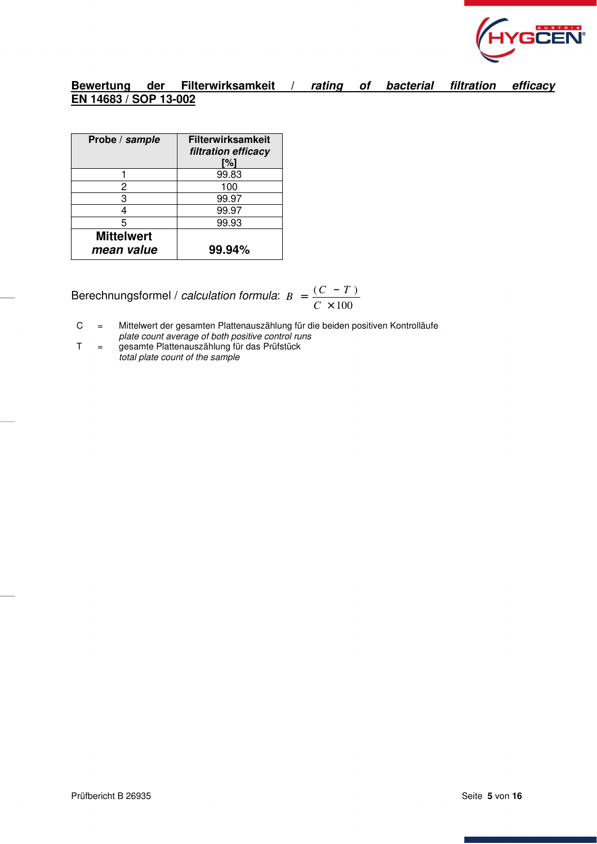

# **Bewertung der Filterwirksamkeit /** *rating of bacterial filtration efficacy* **EN 14683 / SOP 13-002**

| Probe / sample                  | <b>Filterwirksamkeit</b><br>filtration efficacy<br>[%] |
|---------------------------------|--------------------------------------------------------|
|                                 | 99.83                                                  |
| 2                               | 100                                                    |
| 3                               | 99.97                                                  |
|                                 | 99.97                                                  |
| 5                               | 99.93                                                  |
| <b>Mittelwert</b><br>mean value | 99.94%                                                 |

Berechnungsformel / calculation formula: 100  $(C - T)$ ×  $=\frac{(C - C)}{C \times 1}$  $B = \frac{(C - T)}{T}$ 

C = Mittelwert der gesamten Plattenauszählung für die beiden positiven Kontrolläufe plate count average of both positive control runs

T = gesamte Plattenauszählung für das Prüfstück total plate count of the sample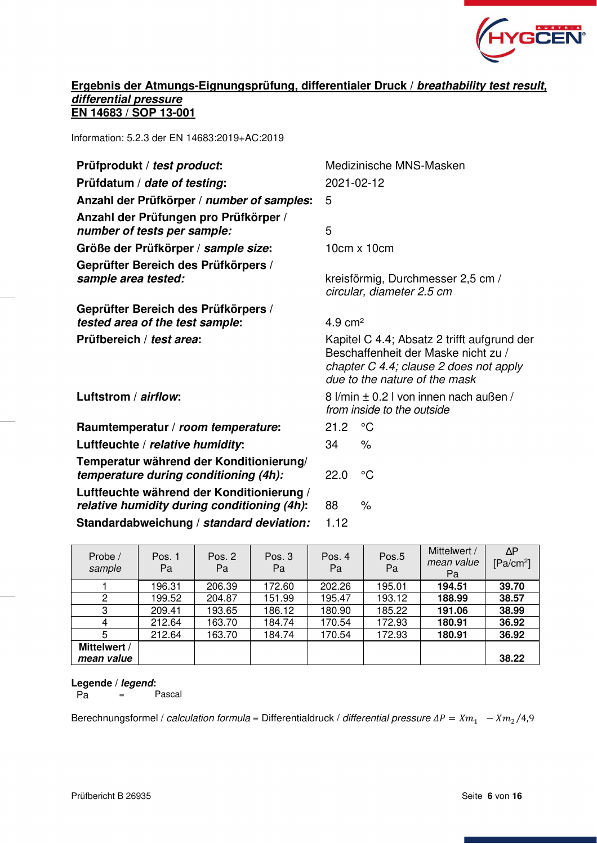

# **Ergebnis der Atmungs-Eignungsprüfung, differentialer Druck /** *breathability test result, differential pressure*  **EN 14683 / SOP 13-001**

Information: 5.2.3 der EN 14683:2019+AC:2019

| Prüfprodukt / test product:                                                              | Medizinische MNS-Masken                                        |                                                                                                                                                               |  |  |
|------------------------------------------------------------------------------------------|----------------------------------------------------------------|---------------------------------------------------------------------------------------------------------------------------------------------------------------|--|--|
| Prüfdatum / date of testing:                                                             | 2021-02-12                                                     |                                                                                                                                                               |  |  |
| Anzahl der Prüfkörper / number of samples:                                               | 5                                                              |                                                                                                                                                               |  |  |
| Anzahl der Prüfungen pro Prüfkörper /<br>number of tests per sample:                     | 5                                                              |                                                                                                                                                               |  |  |
| Größe der Prüfkörper / sample size:                                                      |                                                                | $10cm \times 10cm$                                                                                                                                            |  |  |
| Geprüfter Bereich des Prüfkörpers /<br>sample area tested:                               | kreisförmig, Durchmesser 2,5 cm /<br>circular, diameter 2.5 cm |                                                                                                                                                               |  |  |
| Geprüfter Bereich des Prüfkörpers /                                                      |                                                                |                                                                                                                                                               |  |  |
| tested area of the test sample:                                                          | $4.9 \text{ cm}^2$                                             |                                                                                                                                                               |  |  |
| Prüfbereich / test area:                                                                 |                                                                | Kapitel C 4.4; Absatz 2 trifft aufgrund der<br>Beschaffenheit der Maske nicht zu /<br>chapter C 4.4; clause 2 does not apply<br>due to the nature of the mask |  |  |
| Luftstrom / airflow:                                                                     |                                                                | 8 l/min ± 0.2 l von innen nach außen /<br>from inside to the outside                                                                                          |  |  |
| Raumtemperatur / room temperature:                                                       | 21.2                                                           | $\rm ^{\circ}C$                                                                                                                                               |  |  |
| Luftfeuchte / relative humidity:                                                         | 34                                                             | $\%$                                                                                                                                                          |  |  |
| Temperatur während der Konditionierung/<br>temperature during conditioning (4h):         | 22.0<br>°C                                                     |                                                                                                                                                               |  |  |
| Luftfeuchte während der Konditionierung /<br>relative humidity during conditioning (4h): | 88                                                             | $\frac{1}{\alpha}$                                                                                                                                            |  |  |
| Standardabweichung / standard deviation:                                                 | 1.12                                                           |                                                                                                                                                               |  |  |

| Probe /<br>sample | Pos. 1<br>Pa | Pos. $2$<br>Pa | Pos. $3$<br>Pa | Pos. 4<br>Pa | Pos.5<br>Pa | Mittelwert /<br>mean value<br>Pa | $\Delta P$<br>$[Pa/cm^2]$ |
|-------------------|--------------|----------------|----------------|--------------|-------------|----------------------------------|---------------------------|
|                   | 196.31       | 206.39         | 172.60         | 202.26       | 195.01      | 194.51                           | 39.70                     |
|                   | 199.52       | 204.87         | 151.99         | 195.47       | 193.12      | 188.99                           | 38.57                     |
| 3                 | 209.41       | 193.65         | 186.12         | 180.90       | 185.22      | 191.06                           | 38.99                     |
| 4                 | 212.64       | 163.70         | 184.74         | 170.54       | 172.93      | 180.91                           | 36.92                     |
| 5                 | 212.64       | 163.70         | 184.74         | 170.54       | 172.93      | 180.91                           | 36.92                     |
| Mittelwert /      |              |                |                |              |             |                                  |                           |
| mean value        |              |                |                |              |             |                                  | 38.22                     |

# **Legende /** *legend***:**

 $\overline{Pa}$  = Pascal

Berechnungsformel / calculation formula = Differentialdruck / differential pressure  $\Delta P = X m_1$   $\;\; -X m_2 / 4.9$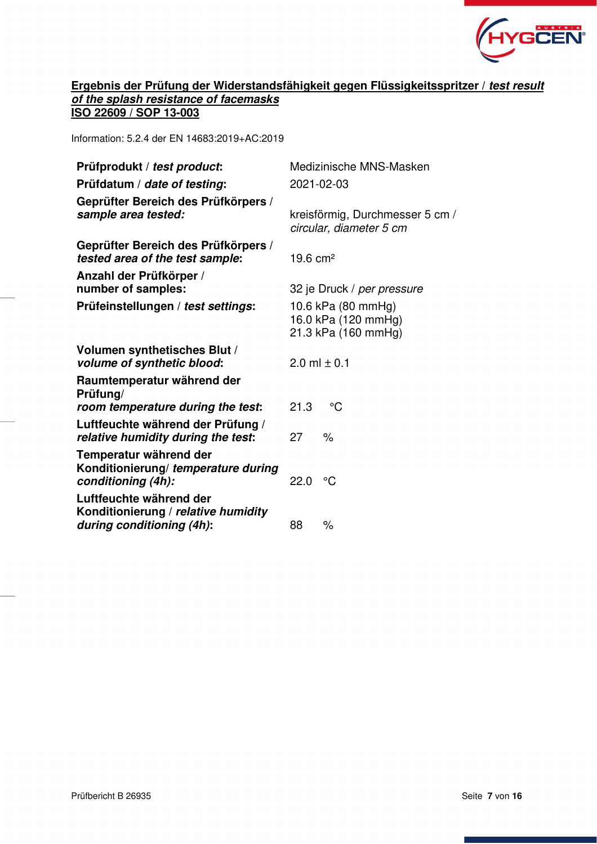

# **Ergebnis der Prüfung der Widerstandsfähigkeit gegen Flüssigkeitsspritzer /** *test result of the splash resistance of facemasks*  **ISO 22609 / SOP 13-003**

Information: 5.2.4 der EN 14683:2019+AC:2019

| Prüfprodukt / test product:                                                                 |                                                                  | Medizinische MNS-Masken    |  |
|---------------------------------------------------------------------------------------------|------------------------------------------------------------------|----------------------------|--|
| Prüfdatum / date of testing:                                                                |                                                                  | 2021-02-03                 |  |
| Geprüfter Bereich des Prüfkörpers /<br>sample area tested:                                  | kreisförmig, Durchmesser 5 cm /<br>circular, diameter 5 cm       |                            |  |
| Geprüfter Bereich des Prüfkörpers /<br>tested area of the test sample:                      | $19.6 \text{ cm}^2$                                              |                            |  |
| Anzahl der Prüfkörper /<br>number of samples:                                               |                                                                  | 32 je Druck / per pressure |  |
| Prüfeinstellungen / test settings:                                                          | 10.6 kPa (80 mmHg)<br>16.0 kPa (120 mmHg)<br>21.3 kPa (160 mmHg) |                            |  |
| Volumen synthetisches Blut /<br>volume of synthetic blood:                                  |                                                                  | 2.0 ml $\pm$ 0.1           |  |
| Raumtemperatur während der<br>Prüfung/                                                      |                                                                  | $^{\circ}C$                |  |
| room temperature during the test:                                                           | 21.3                                                             |                            |  |
| Luftfeuchte während der Prüfung /<br>relative humidity during the test:                     | 27                                                               | $\frac{1}{\sqrt{2}}$       |  |
| Temperatur während der<br>Konditionierung/ temperature during<br>conditioning (4h):         | 22.0                                                             | °C                         |  |
| Luftfeuchte während der<br>Konditionierung / relative humidity<br>during conditioning (4h): | 88                                                               | $\%$                       |  |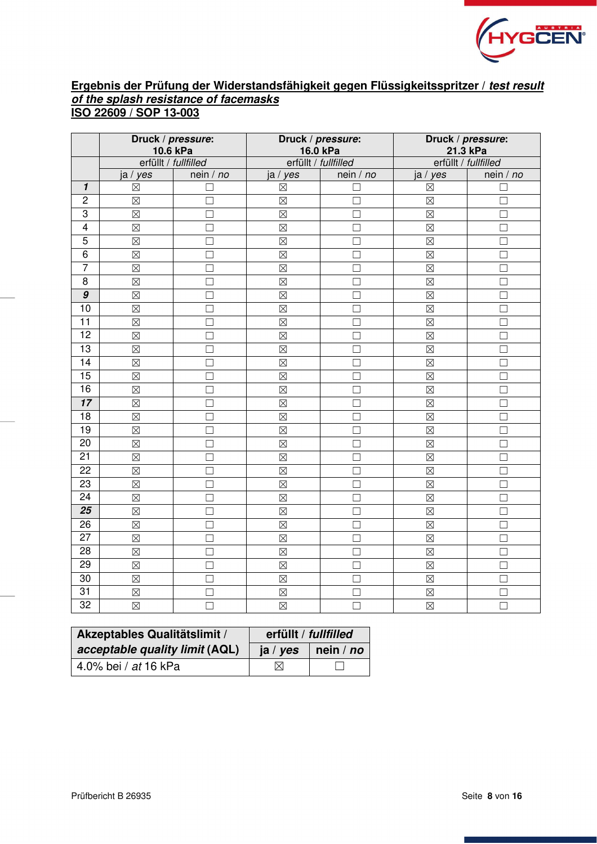

# **Ergebnis der Prüfung der Widerstandsfähigkeit gegen Flüssigkeitsspritzer /** *test result of the splash resistance of facemasks*  **ISO 22609 / SOP 13-003**

|                         | Druck / pressure:<br>10.6 kPa |           |                      | Druck / pressure:<br>16.0 kPa | Druck / pressure:<br>21.3 kPa |                      |  |
|-------------------------|-------------------------------|-----------|----------------------|-------------------------------|-------------------------------|----------------------|--|
|                         | erfüllt / fullfilled          |           | erfüllt / fullfilled |                               |                               | erfüllt / fullfilled |  |
|                         | ja / yes                      | nein / no | ja / yes             | nein / no                     | ja / yes                      | nein / no            |  |
| $\overline{\mathbf{1}}$ | $\boxtimes$                   | □         | $\boxtimes$          | □                             | $\boxtimes$                   | П                    |  |
| $\overline{c}$          | $\boxtimes$                   | $\Box$    | $\boxtimes$          | $\Box$                        | $\boxtimes$                   | $\Box$               |  |
| $\overline{3}$          | $\boxtimes$                   | $\Box$    | $\boxtimes$          | П                             | $\boxtimes$                   | П                    |  |
| $\overline{4}$          | $\boxtimes$                   | □         | $\boxtimes$          | П                             | $\boxtimes$                   | П                    |  |
| $\overline{5}$          | $\boxtimes$                   | □         | $\boxtimes$          | $\Box$                        | $\boxtimes$                   | П                    |  |
| $\overline{6}$          | $\boxtimes$                   | $\Box$    | $\boxtimes$          | П                             | $\boxtimes$                   | П                    |  |
| $\overline{7}$          | $\boxtimes$                   | $\Box$    | $\boxtimes$          | $\Box$                        | $\boxtimes$                   | $\Box$               |  |
| 8                       | $\boxtimes$                   | П         | $\boxtimes$          | П                             | $\boxtimes$                   | П                    |  |
| 9                       | $\boxtimes$                   | $\Box$    | $\boxtimes$          | □                             | $\boxtimes$                   | □                    |  |
| $\overline{10}$         | $\boxtimes$                   | $\Box$    | $\boxtimes$          | П                             | $\boxtimes$                   | $\Box$               |  |
| $\overline{11}$         | $\boxtimes$                   | $\Box$    | $\boxtimes$          | $\Box$                        | $\boxtimes$                   | $\Box$               |  |
| $\overline{12}$         | $\boxtimes$                   | $\Box$    | $\boxtimes$          | П                             | $\boxtimes$                   | П                    |  |
| 13                      | $\boxtimes$                   | $\Box$    | $\boxtimes$          | $\Box$                        | $\boxtimes$                   | $\Box$               |  |
| $\overline{14}$         | $\boxtimes$                   | $\Box$    | $\boxtimes$          | П                             | $\boxtimes$                   | П                    |  |
| 15                      | $\boxtimes$                   | $\Box$    | $\boxtimes$          | П                             | $\boxtimes$                   | П                    |  |
| 16                      | $\boxtimes$                   | $\Box$    | $\boxtimes$          | $\Box$                        | $\boxtimes$                   | □                    |  |
| $\overline{17}$         | $\boxtimes$                   | П         | $\boxtimes$          | П                             | $\boxtimes$                   | П                    |  |
| $\overline{18}$         | $\boxtimes$                   | $\Box$    | $\boxtimes$          | П                             | $\boxtimes$                   | $\Box$               |  |
| 19                      | $\boxtimes$                   | П         | $\boxtimes$          | П                             | $\boxtimes$                   | П                    |  |
| $\overline{20}$         | $\boxtimes$                   | □         | $\boxtimes$          | П                             | $\boxtimes$                   | □                    |  |
| $\overline{21}$         | $\boxtimes$                   | $\Box$    | $\boxtimes$          | П                             | $\boxtimes$                   | $\Box$               |  |
| $\overline{22}$         | $\boxtimes$                   | $\Box$    | $\boxtimes$          | П                             | $\boxtimes$                   | П                    |  |
| 23                      | $\boxtimes$                   | $\Box$    | $\boxtimes$          | П                             | $\boxtimes$                   | П                    |  |
| 24                      | $\boxtimes$                   | $\Box$    | $\boxtimes$          | $\Box$                        | $\boxtimes$                   | $\Box$               |  |
| $\overline{25}$         | $\boxtimes$                   | П         | $\boxtimes$          | П                             | $\boxtimes$                   | П                    |  |
| $\overline{26}$         | $\boxtimes$                   | $\Box$    | $\boxtimes$          | П                             | $\boxtimes$                   | П                    |  |
| $\overline{27}$         | $\boxtimes$                   | □         | $\boxtimes$          | П                             | $\boxtimes$                   | □                    |  |
| $\overline{28}$         | $\boxtimes$                   | П         | $\boxtimes$          | П                             | $\boxtimes$                   | П                    |  |
| 29                      | $\boxtimes$                   | $\Box$    | $\boxtimes$          | П                             | $\boxtimes$                   | П                    |  |
| $\overline{30}$         | $\boxtimes$                   | □         | $\boxtimes$          | □                             | $\boxtimes$                   | $\Box$               |  |
| $\overline{31}$         | $\boxtimes$                   | $\Box$    | $\boxtimes$          | П                             | $\boxtimes$                   | □                    |  |
| $\overline{32}$         | $\boxtimes$                   | $\Box$    | $\boxtimes$          | $\Box$                        | $\boxtimes$                   | $\Box$               |  |

| Akzeptables Qualitätslimit /   | erfüllt / fullfilled |                      |  |
|--------------------------------|----------------------|----------------------|--|
| acceptable quality limit (AQL) | ja / yes             | $ $ nein / <i>no</i> |  |
| 4.0% bei / at 16 kPa           | M                    |                      |  |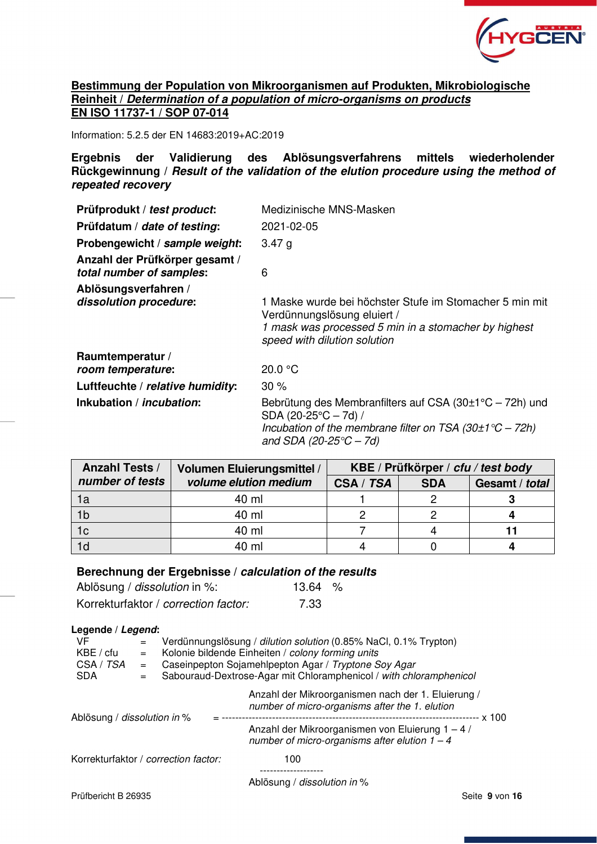

# **Bestimmung der Population von Mikroorganismen auf Produkten, Mikrobiologische Reinheit /** *Determination of a population of micro-organisms on products*  **EN ISO 11737-1 / SOP 07-014**

Information: 5.2.5 der EN 14683:2019+AC:2019

**Ergebnis der Validierung des Ablösungsverfahrens mittels wiederholender Rückgewinnung /** *Result of the validation of the elution procedure using the method of repeated recovery* 

| Prüfprodukt / test product:                                | Medizinische MNS-Masken                                                                                                                                                                       |
|------------------------------------------------------------|-----------------------------------------------------------------------------------------------------------------------------------------------------------------------------------------------|
| Prüfdatum / date of testing:                               | 2021-02-05                                                                                                                                                                                    |
| Probengewicht / sample weight:                             | 3.47 g                                                                                                                                                                                        |
| Anzahl der Prüfkörper gesamt /<br>total number of samples: | 6                                                                                                                                                                                             |
| Ablösungsverfahren /<br>dissolution procedure:             | 1 Maske wurde bei höchster Stufe im Stomacher 5 min mit<br>Verdünnungslösung eluiert /<br>1 mask was processed 5 min in a stomacher by highest<br>speed with dilution solution                |
| Raumtemperatur /<br>room temperature:                      | 20.0 °C                                                                                                                                                                                       |
| Luftfeuchte / relative humidity:                           | $30\%$                                                                                                                                                                                        |
| Inkubation / <i>incubation</i> :                           | Bebrütung des Membranfilters auf CSA (30 $\pm$ 1°C – 72h) und<br>SDA (20-25 $°C - 7d$ ) /<br>Incubation of the membrane filter on TSA $(30\pm1\degree C - 72h)$<br>and SDA (20-25 $°C - 7d$ ) |

| <b>Anzahl Tests /</b> | Volumen Eluierungsmittel / | KBE / Prüfkörper / cfu / test body |            |                |  |
|-----------------------|----------------------------|------------------------------------|------------|----------------|--|
| number of tests       | volume elution medium      | CSA / TSA                          | <b>SDA</b> | Gesamt / total |  |
| 1a                    | 40 ml                      |                                    |            |                |  |
| 1 <sub>b</sub>        | 40 ml                      |                                    |            |                |  |
| 1 <sub>c</sub>        | 40 ml                      |                                    |            |                |  |
| 1d                    | 40 ml                      |                                    |            |                |  |

#### **Berechnung der Ergebnisse /** *calculation of the results*

| Ablösung / <i>dissolution</i> in %:  | 13.64 | ം⁄ |
|--------------------------------------|-------|----|
| Korrekturfaktor / correction factor: | 7.33  |    |

#### **Legende /** *Legend***:**

| VF<br>KBE / cfu<br>CSA / TSA<br><b>SDA</b> | $=$<br>$=$<br>$=$ | Verdünnungslösung / dilution solution (0.85% NaCl, 0.1% Trypton)<br>Kolonie bildende Einheiten / colony forming units<br>Caseinpepton Sojamehlpepton Agar / Tryptone Soy Agar<br>Sabouraud-Dextrose-Agar mit Chloramphenicol / with chloramphenicol |                                                                                                      |  |  |
|--------------------------------------------|-------------------|-----------------------------------------------------------------------------------------------------------------------------------------------------------------------------------------------------------------------------------------------------|------------------------------------------------------------------------------------------------------|--|--|
| Ablösung / dissolution in %                |                   |                                                                                                                                                                                                                                                     | Anzahl der Mikroorganismen nach der 1. Eluierung /<br>number of micro-organisms after the 1. elution |  |  |
|                                            |                   |                                                                                                                                                                                                                                                     | Anzahl der Mikroorganismen von Eluierung 1 - 4 /<br>number of micro-organisms after elution $1 - 4$  |  |  |
| Korrekturfaktor / correction factor:       |                   |                                                                                                                                                                                                                                                     | 100                                                                                                  |  |  |
|                                            |                   |                                                                                                                                                                                                                                                     | Ablösung / dissolution in %                                                                          |  |  |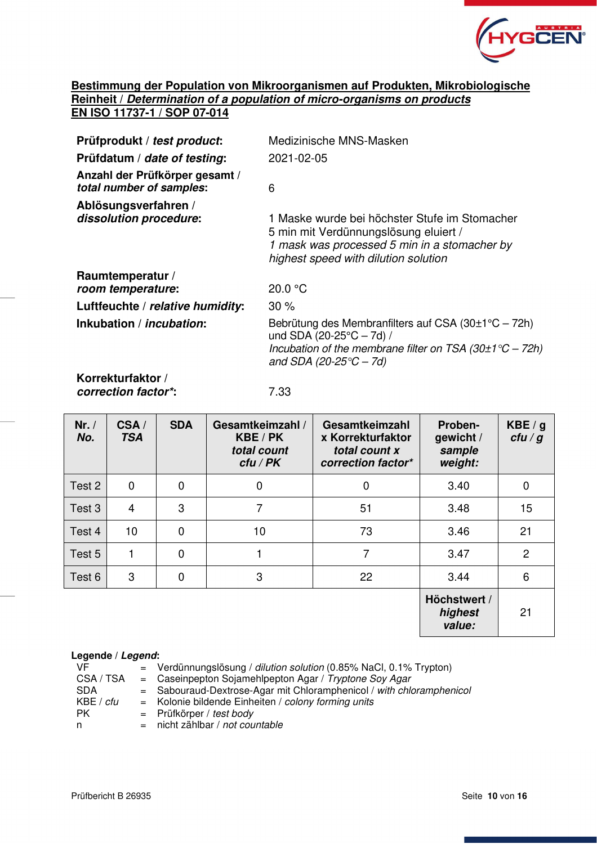

# **Bestimmung der Population von Mikroorganismen auf Produkten, Mikrobiologische Reinheit /** *Determination of a population of micro-organisms on products*  **EN ISO 11737-1 / SOP 07-014**

| Prüfprodukt / test product:                                | Medizinische MNS-Masken                                                                                                                                                                                  |
|------------------------------------------------------------|----------------------------------------------------------------------------------------------------------------------------------------------------------------------------------------------------------|
| Prüfdatum / date of testing:                               | 2021-02-05                                                                                                                                                                                               |
| Anzahl der Prüfkörper gesamt /<br>total number of samples: | 6                                                                                                                                                                                                        |
| Ablösungsverfahren /<br>dissolution procedure:             | 1 Maske wurde bei höchster Stufe im Stomacher<br>5 min mit Verdünnungslösung eluiert /<br>1 mask was processed 5 min in a stomacher by<br>highest speed with dilution solution                           |
| Raumtemperatur /                                           |                                                                                                                                                                                                          |
| room temperature:                                          | 20.0 °C                                                                                                                                                                                                  |
| Luftfeuchte / relative humidity:                           | $30\%$                                                                                                                                                                                                   |
| Inkubation / <i>incubation</i> :                           | Bebrütung des Membranfilters auf CSA $(30\pm1\degree C - 72h)$<br>und SDA (20-25 $\degree$ C – 7d) /<br>Incubation of the membrane filter on TSA $(30\pm1\degree C - 72h)$<br>and SDA (20-25 $°C - 7d$ ) |
| .                                                          |                                                                                                                                                                                                          |

**Korrekturfaktor /**  *correction factor\****:** 7.33

| Nr. /<br>No. | CSA/<br><b>TSA</b> | <b>SDA</b>     | Gesamtkeimzahl /<br>KBE / PK<br>total count<br>$ctu$ / PK | Gesamtkeimzahl<br>x Korrekturfaktor<br>total count x<br>correction factor* | Proben-<br>gewicht /<br>sample<br>weight: | KBE/g<br>ctu/g |
|--------------|--------------------|----------------|-----------------------------------------------------------|----------------------------------------------------------------------------|-------------------------------------------|----------------|
| Test 2       | 0                  | $\mathbf 0$    | $\overline{0}$                                            | $\Omega$                                                                   | 3.40                                      | $\mathbf 0$    |
| Test 3       | $\overline{4}$     | 3              | 7                                                         | 51                                                                         | 3.48                                      | 15             |
| Test 4       | 10                 | $\mathbf 0$    | 10                                                        | 73                                                                         | 3.46                                      | 21             |
| Test 5       |                    | $\overline{0}$ |                                                           | 7                                                                          | 3.47                                      | $\overline{2}$ |
| Test 6       | 3                  | $\mathbf 0$    | 3                                                         | 22                                                                         | 3.44                                      | 6              |
|              |                    |                |                                                           |                                                                            | Höchstwert /<br>highest<br>value:         | 21             |

#### **Legende /** *Legend***:**

| VF.        | $=$ Verdünnungslösung / <i>dilution solution</i> (0.85% NaCl, 0.1% Trypton) |
|------------|-----------------------------------------------------------------------------|
| CSA / TSA  | $=$ Caseinpepton Sojamehlpepton Agar / Tryptone Soy Agar                    |
| <b>SDA</b> | $=$ Sabouraud-Dextrose-Agar mit Chloramphenicol / with chloramphenicol      |
| KBE / cfu  | = Kolonie bildende Einheiten / colony forming units                         |
| PK.        | $=$ Prüfkörper / test body                                                  |
| n.         | $=$ nicht zählbar / not countable                                           |
|            |                                                                             |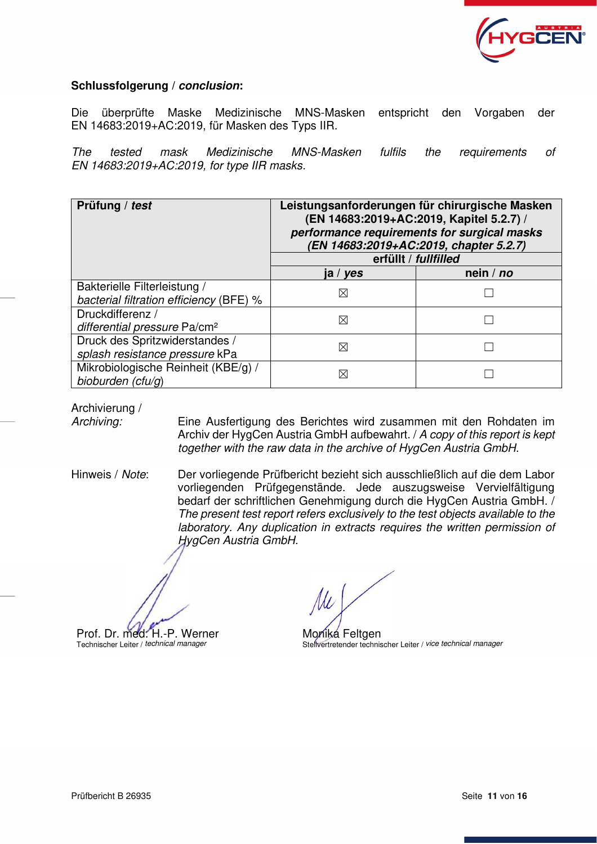

# **Schlussfolgerung /** *conclusion***:**

Die überprüfte Maske Medizinische MNS-Masken entspricht den Vorgaben der EN 14683:2019+AC:2019, für Masken des Typs IIR.

The tested mask Medizinische MNS-Masken fulfils the requirements of EN 14683:2019+AC:2019, for type IIR masks.

| Prüfung / test                                                          | Leistungsanforderungen für chirurgische Masken<br>(EN 14683:2019+AC:2019, Kapitel 5.2.7) /<br>performance requirements for surgical masks<br>(EN 14683:2019+AC:2019, chapter 5.2.7)<br>erfüllt / fullfilled |         |  |  |
|-------------------------------------------------------------------------|-------------------------------------------------------------------------------------------------------------------------------------------------------------------------------------------------------------|---------|--|--|
|                                                                         | ja / <i>yes</i>                                                                                                                                                                                             | nein/no |  |  |
| Bakterielle Filterleistung /<br>bacterial filtration efficiency (BFE) % | $\boxtimes$                                                                                                                                                                                                 |         |  |  |
| Druckdifferenz /<br>differential pressure Pa/cm <sup>2</sup>            | ⊠                                                                                                                                                                                                           |         |  |  |
| Druck des Spritzwiderstandes /<br>splash resistance pressure kPa        | ⊠                                                                                                                                                                                                           |         |  |  |
| Mikrobiologische Reinheit (KBE/g) /<br>bioburden (cfu/g)                | ⊠                                                                                                                                                                                                           |         |  |  |

Archivierung /

Archiving: Eine Ausfertigung des Berichtes wird zusammen mit den Rohdaten im Archiv der HygCen Austria GmbH aufbewahrt. / A copy of this report is kept together with the raw data in the archive of HygCen Austria GmbH.

Hinweis / Note: Der vorliegende Prüfbericht bezieht sich ausschließlich auf die dem Labor vorliegenden Prüfgegenstände. Jede auszugsweise Vervielfältigung bedarf der schriftlichen Genehmigung durch die HygCen Austria GmbH. / The present test report refers exclusively to the test objects available to the laboratory. Any duplication in extracts requires the written permission of HygCen Austria GmbH.

Prof. Dr. med. H.-P. Werner Technischer Leiter / technical manager

Monika Feltgen Stellvertretender technischer Leiter / vice technical manager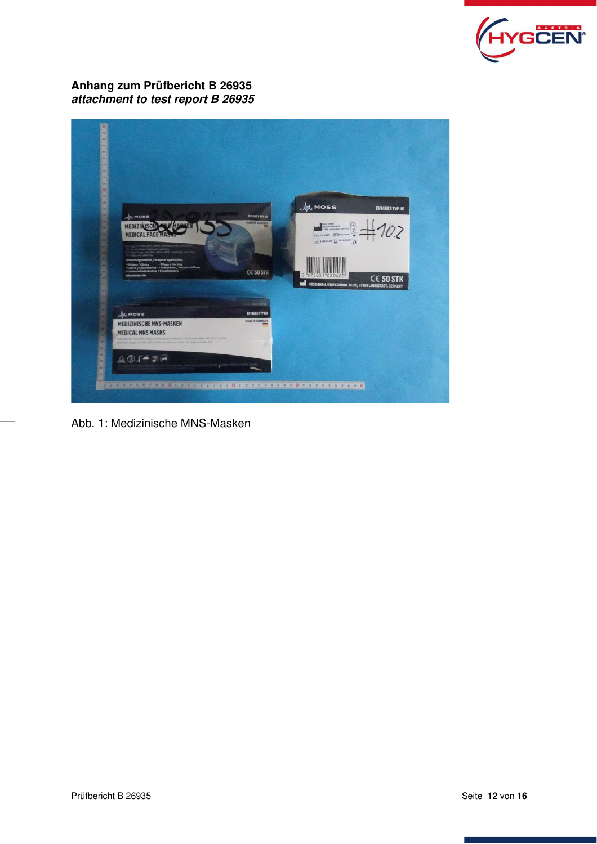

# **Anhang zum Prüfbericht B 26935**  *attachment to test report B 26935*



Abb. 1: Medizinische MNS-Masken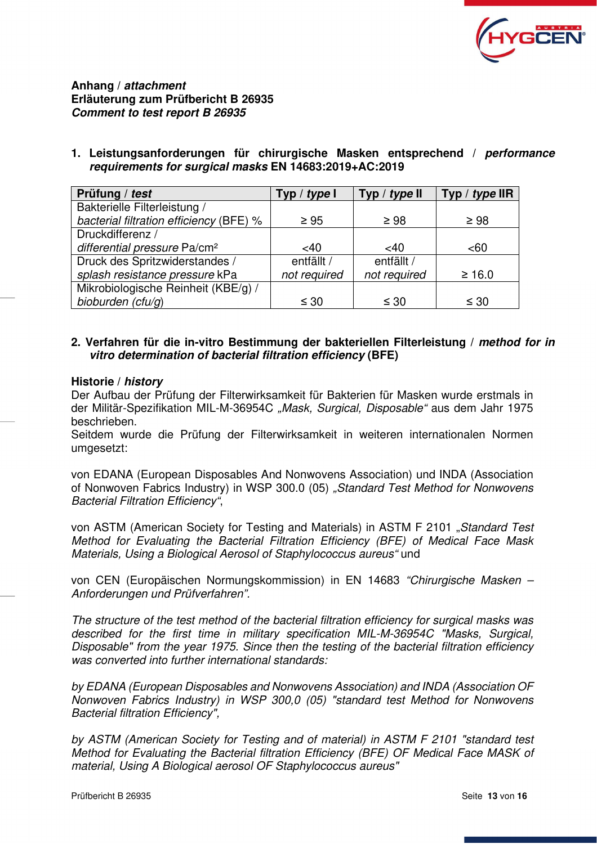

**Anhang /** *attachment* **Erläuterung zum Prüfbericht B 26935**  *Comment to test report B 26935* 

**1. Leistungsanforderungen für chirurgische Masken entsprechend /** *performance requirements for surgical masks* **EN 14683:2019+AC:2019** 

| Prüfung / test                           | Typ / type I | Typ / type $II$ | Typ / type $IIR$ |
|------------------------------------------|--------------|-----------------|------------------|
| Bakterielle Filterleistung /             |              |                 |                  |
| bacterial filtration efficiency (BFE) %  | $\geq 95$    | $\geq 98$       | $\geq 98$        |
| Druckdifferenz /                         |              |                 |                  |
| differential pressure Pa/cm <sup>2</sup> | <40          | $<$ 40          | < 60             |
| Druck des Spritzwiderstandes /           | entfällt /   | entfällt /      |                  |
| splash resistance pressure kPa           | not required | not required    | $\geq 16.0$      |
| Mikrobiologische Reinheit (KBE/g) /      |              |                 |                  |
| bioburden (cfu/g)                        | $\leq 30$    | $\leq 30$       | $\leq 30$        |

# **2. Verfahren für die in-vitro Bestimmung der bakteriellen Filterleistung /** *method for in vitro determination of bacterial filtration efficiency* **(BFE)**

# **Historie /** *history*

Der Aufbau der Prüfung der Filterwirksamkeit für Bakterien für Masken wurde erstmals in der Militär-Spezifikation MIL-M-36954C "Mask, Surgical, Disposable" aus dem Jahr 1975 beschrieben.

Seitdem wurde die Prüfung der Filterwirksamkeit in weiteren internationalen Normen umgesetzt:

von EDANA (European Disposables And Nonwovens Association) und INDA (Association of Nonwoven Fabrics Industry) in WSP 300.0 (05) "Standard Test Method for Nonwovens Bacterial Filtration Efficiency",

von ASTM (American Society for Testing and Materials) in ASTM F 2101 "Standard Test Method for Evaluating the Bacterial Filtration Efficiency (BFE) of Medical Face Mask Materials, Using a Biological Aerosol of Staphylococcus aureus" und

von CEN (Europäischen Normungskommission) in EN 14683 "Chirurgische Masken – Anforderungen und Prüfverfahren".

The structure of the test method of the bacterial filtration efficiency for surgical masks was described for the first time in military specification MIL-M-36954C "Masks, Surgical, Disposable" from the year 1975. Since then the testing of the bacterial filtration efficiency was converted into further international standards:

by EDANA (European Disposables and Nonwovens Association) and INDA (Association OF Nonwoven Fabrics Industry) in WSP 300,0 (05) "standard test Method for Nonwovens Bacterial filtration Efficiency",

by ASTM (American Society for Testing and of material) in ASTM F 2101 "standard test Method for Evaluating the Bacterial filtration Efficiency (BFE) OF Medical Face MASK of material, Using A Biological aerosol OF Staphylococcus aureus"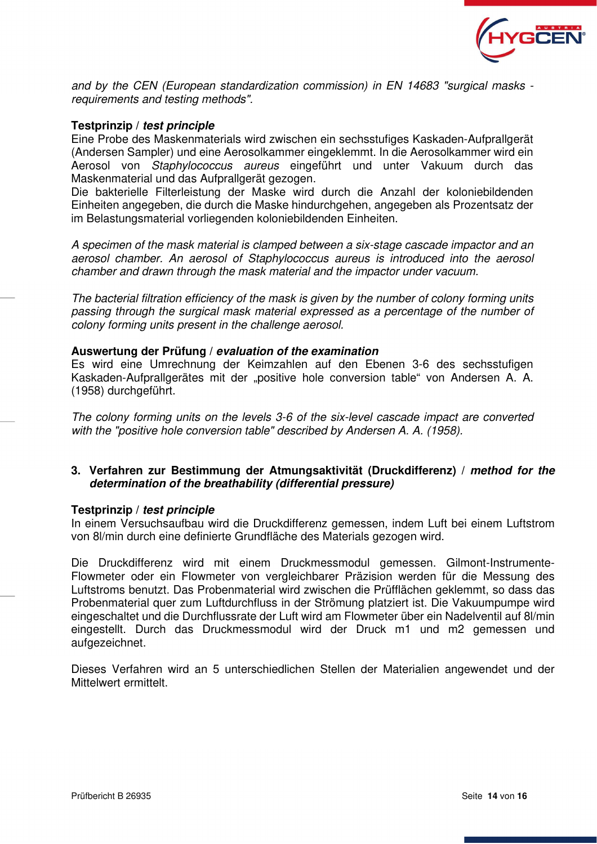

and by the CEN (European standardization commission) in EN 14683 "surgical masks requirements and testing methods".

#### **Testprinzip /** *test principle*

Eine Probe des Maskenmaterials wird zwischen ein sechsstufiges Kaskaden-Aufprallgerät (Andersen Sampler) und eine Aerosolkammer eingeklemmt. In die Aerosolkammer wird ein Aerosol von Staphylococcus aureus eingeführt und unter Vakuum durch das Maskenmaterial und das Aufprallgerät gezogen.

Die bakterielle Filterleistung der Maske wird durch die Anzahl der koloniebildenden Einheiten angegeben, die durch die Maske hindurchgehen, angegeben als Prozentsatz der im Belastungsmaterial vorliegenden koloniebildenden Einheiten.

A specimen of the mask material is clamped between a six-stage cascade impactor and an aerosol chamber. An aerosol of Staphylococcus aureus is introduced into the aerosol chamber and drawn through the mask material and the impactor under vacuum.

The bacterial filtration efficiency of the mask is given by the number of colony forming units passing through the surgical mask material expressed as a percentage of the number of colony forming units present in the challenge aerosol.

#### **Auswertung der Prüfung /** *evaluation of the examination*

Es wird eine Umrechnung der Keimzahlen auf den Ebenen 3-6 des sechsstufigen Kaskaden-Aufprallgerätes mit der "positive hole conversion table" von Andersen A. A. (1958) durchgeführt.

The colony forming units on the levels 3-6 of the six-level cascade impact are converted with the "positive hole conversion table" described by Andersen A. A. (1958).

### **3. Verfahren zur Bestimmung der Atmungsaktivität (Druckdifferenz) /** *method for the determination of the breathability (differential pressure)*

#### **Testprinzip /** *test principle*

In einem Versuchsaufbau wird die Druckdifferenz gemessen, indem Luft bei einem Luftstrom von 8l/min durch eine definierte Grundfläche des Materials gezogen wird.

Die Druckdifferenz wird mit einem Druckmessmodul gemessen. Gilmont-Instrumente-Flowmeter oder ein Flowmeter von vergleichbarer Präzision werden für die Messung des Luftstroms benutzt. Das Probenmaterial wird zwischen die Prüfflächen geklemmt, so dass das Probenmaterial quer zum Luftdurchfluss in der Strömung platziert ist. Die Vakuumpumpe wird eingeschaltet und die Durchflussrate der Luft wird am Flowmeter über ein Nadelventil auf 8l/min eingestellt. Durch das Druckmessmodul wird der Druck m1 und m2 gemessen und aufgezeichnet.

Dieses Verfahren wird an 5 unterschiedlichen Stellen der Materialien angewendet und der Mittelwert ermittelt.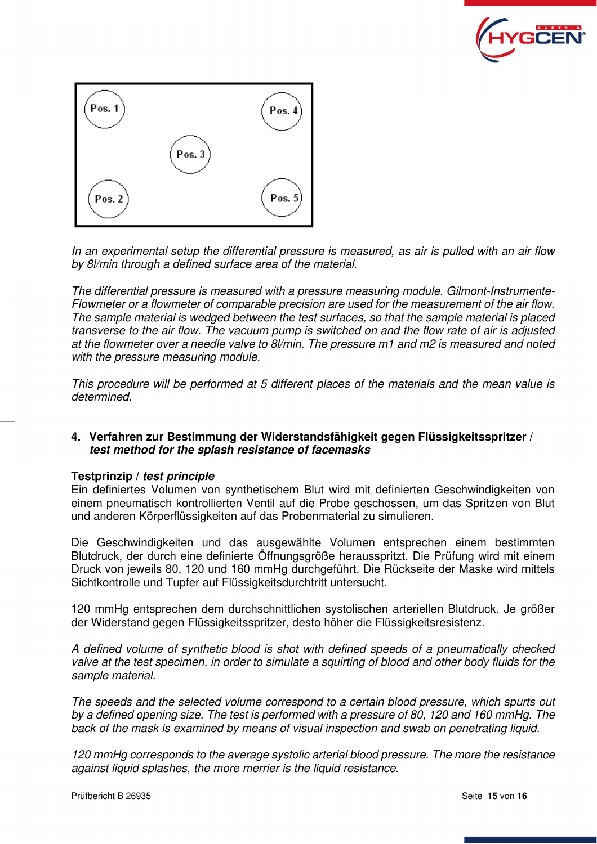



In an experimental setup the differential pressure is measured, as air is pulled with an air flow by 8l/min through a defined surface area of the material.

The differential pressure is measured with a pressure measuring module. Gilmont-Instrumente-Flowmeter or a flowmeter of comparable precision are used for the measurement of the air flow. The sample material is wedged between the test surfaces, so that the sample material is placed transverse to the air flow. The vacuum pump is switched on and the flow rate of air is adjusted at the flowmeter over a needle valve to 8l/min. The pressure m1 and m2 is measured and noted with the pressure measuring module.

This procedure will be performed at 5 different places of the materials and the mean value is determined.

# **4. Verfahren zur Bestimmung der Widerstandsfähigkeit gegen Flüssigkeitsspritzer /**  *test method for the splash resistance of facemasks*

# **Testprinzip /** *test principle*

Ein definiertes Volumen von synthetischem Blut wird mit definierten Geschwindigkeiten von einem pneumatisch kontrollierten Ventil auf die Probe geschossen, um das Spritzen von Blut und anderen Körperflüssigkeiten auf das Probenmaterial zu simulieren.

Die Geschwindigkeiten und das ausgewählte Volumen entsprechen einem bestimmten Blutdruck, der durch eine definierte Öffnungsgröße herausspritzt. Die Prüfung wird mit einem Druck von jeweils 80, 120 und 160 mmHg durchgeführt. Die Rückseite der Maske wird mittels Sichtkontrolle und Tupfer auf Flüssigkeitsdurchtritt untersucht.

120 mmHg entsprechen dem durchschnittlichen systolischen arteriellen Blutdruck. Je größer der Widerstand gegen Flüssigkeitsspritzer, desto höher die Flüssigkeitsresistenz.

A defined volume of synthetic blood is shot with defined speeds of a pneumatically checked valve at the test specimen, in order to simulate a squirting of blood and other body fluids for the sample material.

The speeds and the selected volume correspond to a certain blood pressure, which spurts out by a defined opening size. The test is performed with a pressure of 80, 120 and 160 mmHg. The back of the mask is examined by means of visual inspection and swab on penetrating liquid.

120 mmHg corresponds to the average systolic arterial blood pressure. The more the resistance against liquid splashes, the more merrier is the liquid resistance.